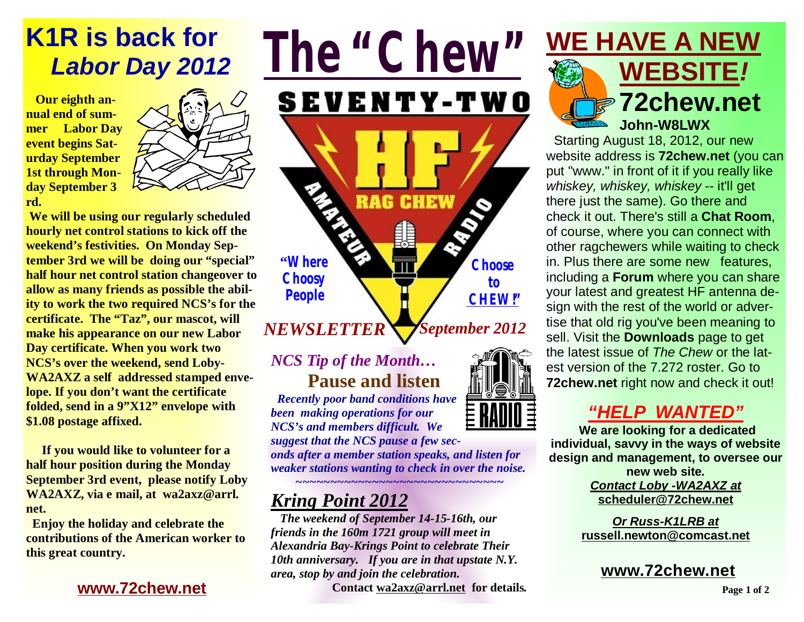# **K1R is back for**   *Labor Day 2012*

 **Our eighth annual end of summer Labor Day event begins Saturday September 1st through Monday September 3 rd.** 



 **We will be using our regularly scheduled hourly net control stations to kick off the weekend's festivities. On Monday September 3rd we will be doing our "special" half hour net control station changeover to allow as many friends as possible the ability to work the two required NCS's for the certificate. The "Taz", our mascot, will make his appearance on our new Labor Day certificate. When you work two NCS's over the weekend, send Loby-WA2AXZ a self addressed stamped envelope. If you don't want the certificate folded, send in a 9"X12" envelope with \$1.08 postage affixed.** 

 **If you would like to volunteer for a half hour position during the Monday September 3rd event, please notify Loby WA2AXZ, via e mail, at wa2axz@arrl. net.** 

 **Enjoy the holiday and celebrate the contributions of the American worker to this great country.** 

#### **[www.72chew.net](http://www.72chew.net)**



### *NCS Tip of the Month…* **Pause and listen**

 *Recently poor band conditions have been making operations for our NCS's and members difficult. We* 

*suggest that the NCS pause a few seconds after a member station speaks, and listen for weaker stations wanting to check in over the noise.* 

#### *~~~~~~~~~~~~~~~~~~~~~~~~~~~~~~ Kring Point 2012*

 *The weekend of September 14-15-16th, our friends in the 160m 1721 group will meet in Alexandria Bay-Krings Point to celebrate Their 10th anniversary. If you are in that upstate N.Y. area, stop by and join the celebration.* **Contact [wa2axz@arrl.net](mailto:wa2axz@arrl.net) for details***.* 



Starting August 18, 2012, our new website address is **72chew.net** (you can put "www." in front of it if you really like *whiskey, whiskey, whiskey* -- it'll get there just the same). Go there and check it out. There's still a **Chat Room**, of course, where you can connect with other ragchewers while waiting to check in. Plus there are some new features, including a **Forum** where you can share your latest and greatest HF antenna design with the rest of the world or advertise that old rig you've been meaning to sell. Visit the **Downloads** page to get the latest issue of *The Chew* or the latest version of the 7.272 roster. Go to **72chew.net** right now and check it out!

## *"HELP WANTED"*

**We are looking for a dedicated individual, savvy in the ways of website design and management, to oversee our new web site***. Contact Loby -WA2AXZ at*  **[scheduler@72chew.net](mailto:scheduler@72chew.net)**

> *Or Russ-K1LRB at*  **[russell.newton@comcast.net](mailto:russell.newton@comcast.net)**

**[www.72chew.net](http://www.72chew.net)**